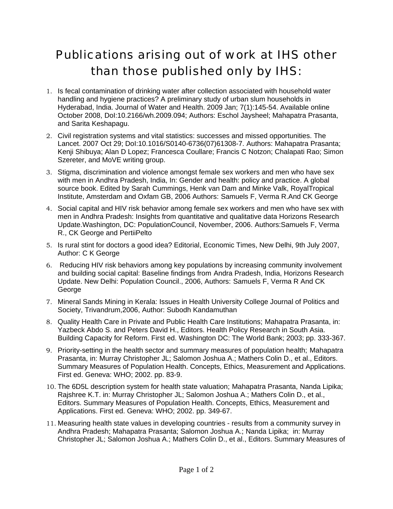## Publications arising out of work at IHS other than those published only by IHS:

- 1. Is fecal contamination of drinking water after collection associated with household water handling and hygiene practices? A preliminary study of urban slum households in Hyderabad, India. Journal of Water and Health. 2009 Jan; 7(1):145-54. Available online October 2008, DoI:10.2166/wh.2009.094; Authors: Eschol Jaysheel; Mahapatra Prasanta, and Sarita Keshapagu.
- 2. Civil registration systems and vital statistics: successes and missed opportunities. The Lancet. 2007 Oct 29; DoI:10.1016/S0140-6736(07)61308-7. Authors: Mahapatra Prasanta; Kenji Shibuya; Alan D Lopez; Francesca Coullare; Francis C Notzon; Chalapati Rao; Simon Szereter, and MoVE writing group.
- 3. Stigma, discrimination and violence amongst female sex workers and men who have sex with men in Andhra Pradesh, India, In: Gender and health: policy and practice. A global source book. Edited by Sarah Cummings, Henk van Dam and Minke Valk, RoyalTropical Institute, Amsterdam and Oxfam GB, 2006 Authors: Samuels F, Verma R.And CK George
- 4. Social capital and HIV risk behavior among female sex workers and men who have sex with men in Andhra Pradesh: Insights from quantitative and qualitative data Horizons Research Update.Washington, DC: PopulationCouncil, November, 2006. Authors:Samuels F, Verma R., CK George and PertiiPelto
- 5. Is rural stint for doctors a good idea? Editorial, Economic Times, New Delhi, 9th July 2007, Author: C K George
- 6. Reducing HIV risk behaviors among key populations by increasing community involvement and building social capital: Baseline findings from Andra Pradesh, India, Horizons Research Update. New Delhi: Population Council., 2006, Authors: Samuels F, Verma R And CK George
- 7. Mineral Sands Mining in Kerala: Issues in Health University College Journal of Politics and Society, Trivandrum,2006, Author: Subodh Kandamuthan
- 8. Quality Health Care in Private and Public Health Care Institutions; Mahapatra Prasanta, in: Yazbeck Abdo S. and Peters David H., Editors. Health Policy Research in South Asia. Building Capacity for Reform. First ed. Washington DC: The World Bank; 2003; pp. 333-367.
- 9. Priority-setting in the health sector and summary measures of population health; Mahapatra Prasanta, in: Murray Christopher JL; Salomon Joshua A.; Mathers Colin D., et al., Editors. Summary Measures of Population Health. Concepts, Ethics, Measurement and Applications. First ed. Geneva: WHO; 2002. pp. 83-9.
- 10. The 6D5L description system for health state valuation; Mahapatra Prasanta, Nanda Lipika; Rajshree K.T. in: Murray Christopher JL; Salomon Joshua A.; Mathers Colin D., et al., Editors. Summary Measures of Population Health. Concepts, Ethics, Measurement and Applications. First ed. Geneva: WHO; 2002. pp. 349-67.
- 11. Measuring health state values in developing countries results from a community survey in Andhra Pradesh; Mahapatra Prasanta; Salomon Joshua A.; Nanda Lipika; in: Murray Christopher JL; Salomon Joshua A.; Mathers Colin D., et al., Editors. Summary Measures of